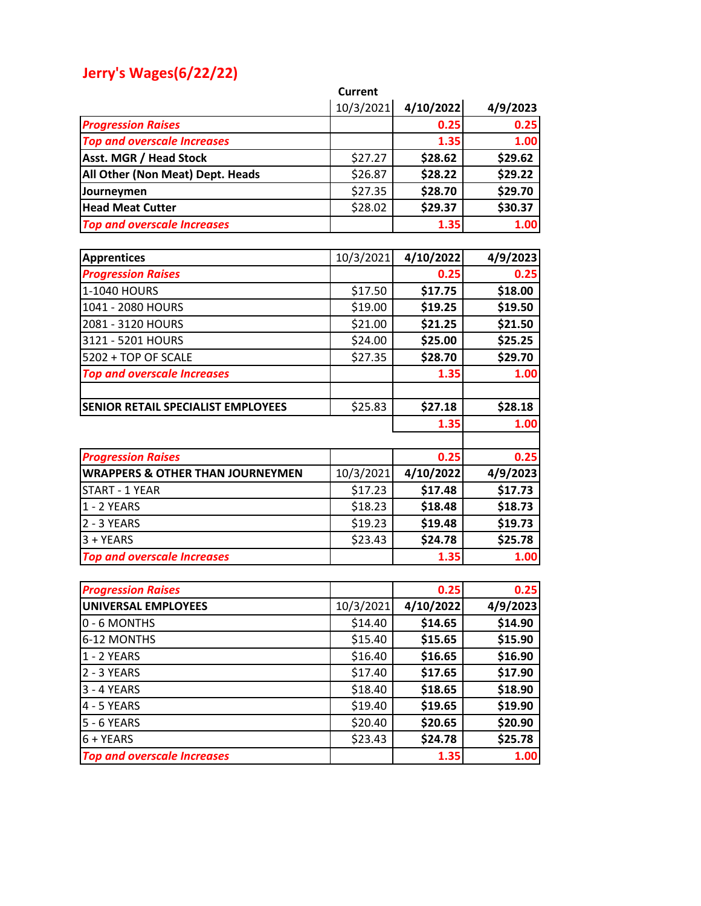## **Jerry's Wages(6/22/22)**

|                                             | <b>Current</b> |           |          |
|---------------------------------------------|----------------|-----------|----------|
|                                             | 10/3/2021      | 4/10/2022 | 4/9/2023 |
| <b>Progression Raises</b>                   |                | 0.25      | 0.25     |
| <b>Top and overscale Increases</b>          |                | 1.35      | 1.00     |
| <b>Asst. MGR / Head Stock</b>               | \$27.27        | \$28.62   | \$29.62  |
| All Other (Non Meat) Dept. Heads            | \$26.87        | \$28.22   | \$29.22  |
| Journeymen                                  | \$27.35        | \$28.70   | \$29.70  |
| <b>Head Meat Cutter</b>                     | \$28.02        | \$29.37   | \$30.37  |
| <b>Top and overscale Increases</b>          |                | 1.35      | 1.00     |
|                                             |                |           |          |
| <b>Apprentices</b>                          | 10/3/2021      | 4/10/2022 | 4/9/2023 |
| <b>Progression Raises</b>                   |                | 0.25      | 0.25     |
| 1-1040 HOURS                                | \$17.50        | \$17.75   | \$18.00  |
| 1041 - 2080 HOURS                           | \$19.00        | \$19.25   | \$19.50  |
| 2081 - 3120 HOURS                           | \$21.00        | \$21.25   | \$21.50  |
| 3121 - 5201 HOURS                           | \$24.00        | \$25.00   | \$25.25  |
| 5202 + TOP OF SCALE                         | \$27.35        | \$28.70   | \$29.70  |
| <b>Top and overscale Increases</b>          |                | 1.35      | 1.00     |
|                                             |                |           |          |
| SENIOR RETAIL SPECIALIST EMPLOYEES          | \$25.83        | \$27.18   | \$28.18  |
|                                             |                | 1.35      | 1.00     |
|                                             |                |           |          |
| <b>Progression Raises</b>                   |                | 0.25      | 0.25     |
| <b>WRAPPERS &amp; OTHER THAN JOURNEYMEN</b> | 10/3/2021      | 4/10/2022 | 4/9/2023 |
| <b>START - 1 YEAR</b>                       | \$17.23        | \$17.48   | \$17.73  |
| 1 - 2 YEARS                                 | \$18.23        | \$18.48   | \$18.73  |
| 2 - 3 YEARS                                 | \$19.23        | \$19.48   | \$19.73  |
| $3 + YEARS$                                 | \$23.43        | \$24.78   | \$25.78  |
| <b>Top and overscale Increases</b>          |                | 1.35      | 1.00     |
|                                             |                |           |          |
| <b>Progression Raises</b>                   |                | 0.25      | 0.25     |
| UNIVERSAL EMPLOYEES                         | 10/3/2021      | 4/10/2022 | 4/9/2023 |
| 0 - 6 MONTHS                                | \$14.40        | \$14.65   | \$14.90  |
| 6-12 MONTHS                                 | \$15.40        | \$15.65   | \$15.90  |
| 1 - 2 YEARS                                 | \$16.40        | \$16.65   | \$16.90  |
| 2 - 3 YEARS                                 | \$17.40        | \$17.65   | \$17.90  |
| 3 - 4 YEARS                                 | \$18.40        | \$18.65   | \$18.90  |
| 4 - 5 YEARS                                 | \$19.40        | \$19.65   | \$19.90  |
| 5 - 6 YEARS                                 | \$20.40        | \$20.65   | \$20.90  |
| $6 + YEARS$                                 | \$23.43        | \$24.78   | \$25.78  |
| <b>Top and overscale Increases</b>          |                | 1.35      | 1.00     |